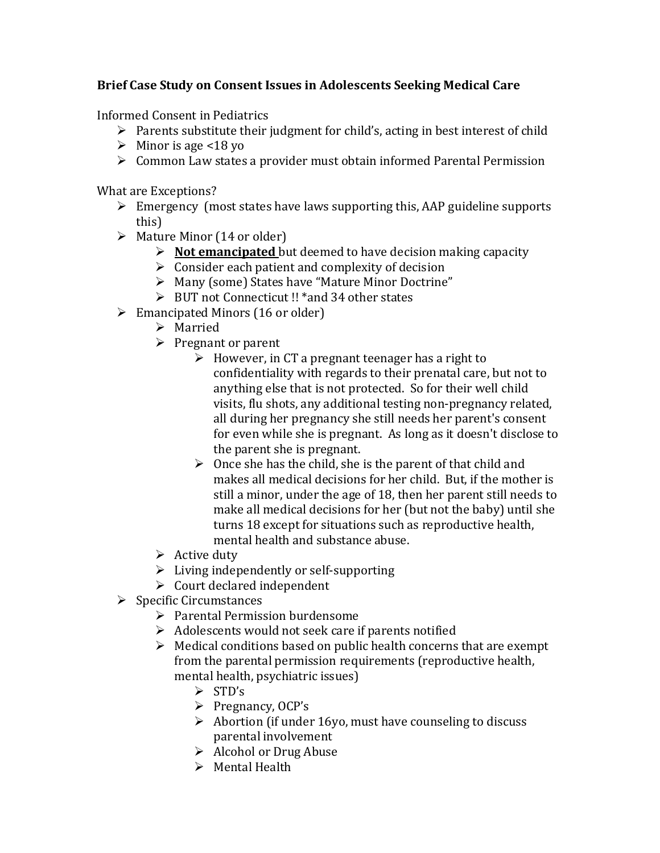## **Brief Case Study on Consent Issues in Adolescents Seeking Medical Care**

Informed Consent in Pediatrics

- $\triangleright$  Parents substitute their judgment for child's, acting in best interest of child
- $\triangleright$  Minor is age <18 yo
- $\triangleright$  Common Law states a provider must obtain informed Parental Permission

What are Exceptions?

- $\triangleright$  Emergency (most states have laws supporting this, AAP guideline supports this)
- $\triangleright$  Mature Minor (14 or older)
	- **Not emancipated** but deemed to have decision making capacity
	- $\triangleright$  Consider each patient and complexity of decision
	- Many (some) States have "Mature Minor Doctrine"
	- BUT not Connecticut !! \*and 34 other states
- $\triangleright$  Emancipated Minors (16 or older)
	- > Married
	- $\triangleright$  Pregnant or parent
		- $\triangleright$  However, in CT a pregnant teenager has a right to confidentiality with regards to their prenatal care, but not to anything else that is not protected. So for their well child visits, flu shots, any additional testing non-pregnancy related, all during her pregnancy she still needs her parent's consent for even while she is pregnant. As long as it doesn't disclose to the parent she is pregnant.
		- $\triangleright$  Once she has the child, she is the parent of that child and makes all medical decisions for her child. But, if the mother is still a minor, under the age of 18, then her parent still needs to make all medical decisions for her (but not the baby) until she turns 18 except for situations such as reproductive health, mental health and substance abuse.
	- $\triangleright$  Active duty
	- $\triangleright$  Living independently or self-supporting
	- $\triangleright$  Court declared independent
- $\triangleright$  Specific Circumstances
	- $\triangleright$  Parental Permission burdensome
	- $\triangleright$  Adolescents would not seek care if parents notified
	- $\triangleright$  Medical conditions based on public health concerns that are exempt from the parental permission requirements (reproductive health, mental health, psychiatric issues)
		- $\triangleright$  STD's
		- $\triangleright$  Pregnancy, OCP's
		- $\triangleright$  Abortion (if under 16yo, must have counseling to discuss parental involvement
		- $\triangleright$  Alcohol or Drug Abuse
		- $\triangleright$  Mental Health